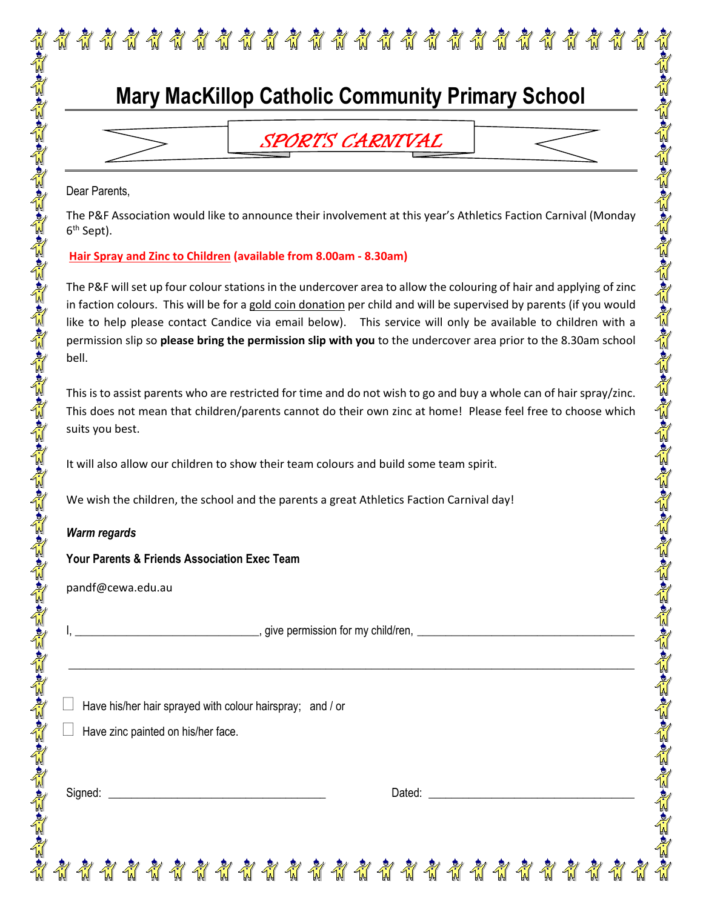## **Mary MacKillop Catholic Community Primary School**

SPORTS CARNIVAL

Dear Parents,

The P&F Association would like to announce their involvement at this year's Athletics Faction Carnival (Monday 6th Sept).

### **Hair Spray and Zinc to Children (available from 8.00am - 8.30am)**

The P&F will set up four colour stations in the undercover area to allow the colouring of hair and applying of zinc in faction colours. This will be for a gold coin donation per child and will be supervised by parents (if you would like to help please contact Candice via email below). This service will only be available to children with a permission slip so **please bring the permission slip with you** to the undercover area prior to the 8.30am school bell.

This is to assist parents who are restricted for time and do not wish to go and buy a whole can of hair spray/zinc. This does not mean that children/parents cannot do their own zinc at home! Please feel free to choose which suits you best.

محاملات المناسب المسترام المراسول المناسب المسترات والمسترام المراجع والمناسب المسترات والمسترات المسترات المسترات المسترات المسترات المسترات المسترات المسترات المسترات المسترات المسترات المسترات المسترات المسترات المسترات

It will also allow our children to show their team colours and build some team spirit.

We wish the children, the school and the parents a great Athletics Faction Carnival day!

### *Warm regards*

### **Your Parents & Friends Association Exec Team**

pandf@cewa.edu.au

**I, E. A. E. A. E. A. E. A. E. A. E. A. E. A. E. A. E. A. E. A. E. A. E. A. E. A. E. A. E. A. E. A. E. A. E. A.** 

 $\overline{\phantom{a}}$  , and the contract of the contract of the contract of the contract of the contract of the contract of the contract of the contract of the contract of the contract of the contract of the contract of the contrac

\*\*\*\*\*\*\*\*\*\*\*\*\*\*\*\*\*\*\*\*\*\*\*

Have his/her hair sprayed with colour hairspray; and / or

Have zinc painted on his/her face.

Signed: \_\_\_\_\_\_\_\_\_\_\_\_\_\_\_\_\_\_\_\_\_\_\_\_\_\_\_\_\_\_\_\_\_\_\_\_\_\_ Dated: \_\_\_\_\_\_\_\_\_\_\_\_\_\_\_\_\_\_\_\_\_\_\_\_\_\_\_\_\_\_\_\_\_\_\_\_